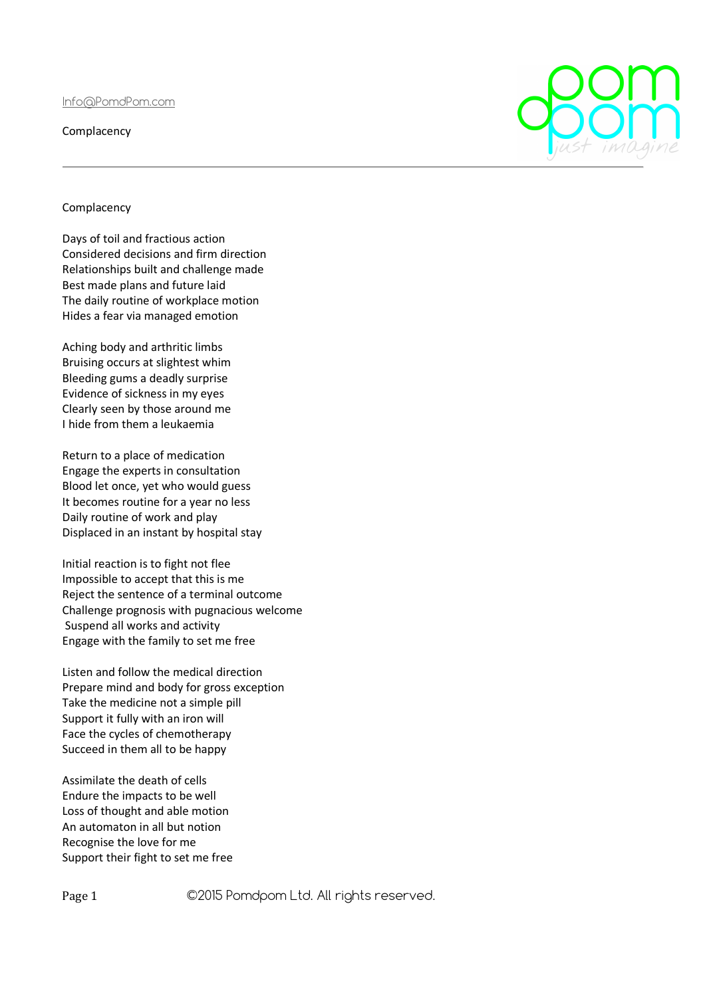Info@PomdPom.com

**Complacency** 

## Complacency

Days of toil and fractious action Considered decisions and firm direction Relationships built and challenge made Best made plans and future laid The daily routine of workplace motion Hides a fear via managed emotion

Aching body and arthritic limbs Bruising occurs at slightest whim Bleeding gums a deadly surprise Evidence of sickness in my eyes Clearly seen by those around me I hide from them a leukaemia

Return to a place of medication Engage the experts in consultation Blood let once, yet who would guess It becomes routine for a year no less Daily routine of work and play Displaced in an instant by hospital stay

Initial reaction is to fight not flee Impossible to accept that this is me Reject the sentence of a terminal outcome Challenge prognosis with pugnacious welcome Suspend all works and activity Engage with the family to set me free

Listen and follow the medical direction Prepare mind and body for gross exception Take the medicine not a simple pill Support it fully with an iron will Face the cycles of chemotherapy Succeed in them all to be happy

Assimilate the death of cells Endure the impacts to be well Loss of thought and able motion An automaton in all but notion Recognise the love for me Support their fight to set me free

Page 1 ©2015 Pomdpom Ltd. All rights reserved.